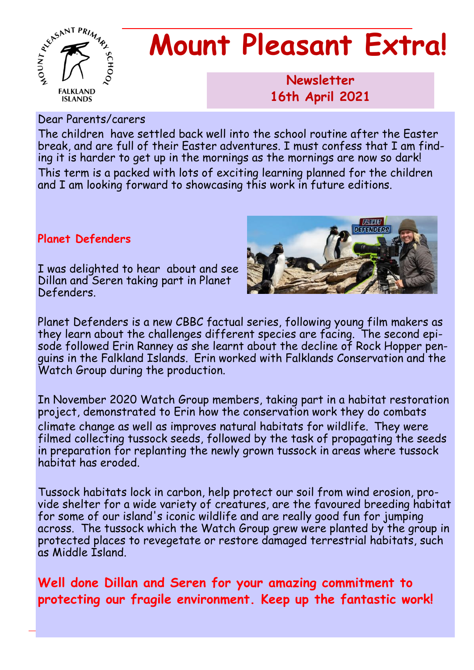

# **Mount Pleasant Extra!**

**Newsletter 1986 16th April 2021**

Dear Parents/carers

The children have settled back well into the school routine after the Easter break, and are full of their Easter adventures. I must confess that I am finding it is harder to get up in the mornings as the mornings are now so dark! This term is a packed with lots of exciting learning planned for the children and I am looking forward to showcasing this work in future editions.

#### **Planet Defenders**

I was delighted to hear about and see Dillan and Seren taking part in Planet Defenders.



Planet Defenders is a new CBBC factual series, following young film makers as they learn about the challenges different species are facing. The second episode followed Erin Ranney as she learnt about the decline of Rock Hopper penguins in the Falkland Islands. Erin worked with Falklands Conservation and the Watch Group during the production.

In November 2020 Watch Group members, taking part in a habitat restoration project, demonstrated to Erin how the conservation work they do combats climate change as well as improves natural habitats for wildlife. They were filmed collecting tussock seeds, followed by the task of propagating the seeds in preparation for replanting the newly grown tussock in areas where tussock habitat has eroded.

Tussock habitats lock in carbon, help protect our soil from wind erosion, provide shelter for a wide variety of creatures, are the favoured breeding habitat for some of our island's iconic wildlife and are really good fun for jumping across. The tussock which the Watch Group grew were planted by the group in protected places to revegetate or restore damaged terrestrial habitats, such as Middle Island.

**Well done Dillan and Seren for your amazing commitment to protecting our fragile environment. Keep up the fantastic work!**